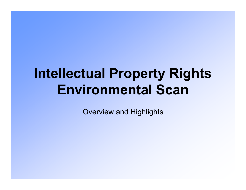# **Intellectual Property Rights Environmental Scan**

Overview and Highlights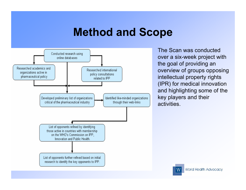#### **Method and Scope**



The Scan was conducted over a six-week project with the goal of providing an overview of groups opposing intellectual property rights (IPR) for medical innovation and highlighting some of the key players and their activities.

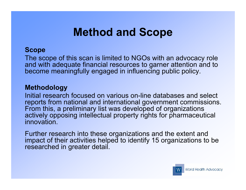#### **Method and Scope**

#### **Scope**

The scope of this scan is limited to NGOs with an advocacy role and with adequate financial resources to garner attention and to become meaningfully engaged in influencing public policy.

#### **Methodology**

Initial research focused on various on-line databases and select reports from national and international government commissions. From this, a preliminary list was developed of organizations actively opposing intellectual property rights for pharmaceutical innovation.

Further research into these organizations and the extent and impact of their activities helped to identify 15 organizations to be researched in greater detail.

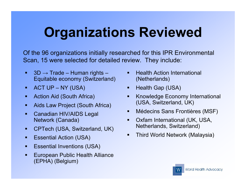# **Organizations Reviewed**

Of the 96 organizations initially researched for this IPR Environmental Scan, 15 were selected for detailed review. They include:

- $\blacksquare$  3D  $\rightarrow$  Trade Human rights Equitable economy (Switzerland)
- $\blacksquare$  ACT UP NY (USA)
- **EXECT:** Action Aid (South Africa)
- ! Aids Law Project (South Africa)
- ! Canadian HIV/AIDS Legal Network (Canada)
- ! CPTech (USA, Switzerland, UK)
- **E** Essential Action (USA)
- **Essential Inventions (USA)**
- ! European Public Health Alliance (EPHA) (Belgium)
- **E.** Health Action International (Netherlands)
- **E** Health Gap (USA)
- **EXECONOMY International** (USA, Switzerland, UK)
- ! Médecins Sans Frontières (MSF)
- ! Oxfam International (UK, USA, Netherlands, Switzerland)
- **Third World Network (Malaysia)**

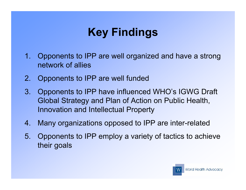## **Key Findings**

- 1. Opponents to IPP are well organized and have a strong network of allies
- 2. Opponents to IPP are well funded
- 3. Opponents to IPP have influenced WHO's IGWG Draft Global Strategy and Plan of Action on Public Health, Innovation and Intellectual Property
- 4. Many organizations opposed to IPP are inter-related
- 5. Opponents to IPP employ a variety of tactics to achieve their goals

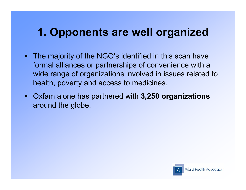### **1. Opponents are well organized**

- **. The majority of the NGO's identified in this scan have** formal alliances or partnerships of convenience with a wide range of organizations involved in issues related to health, poverty and access to medicines.
- ! Oxfam alone has partnered with **3,250 organizations** around the globe.

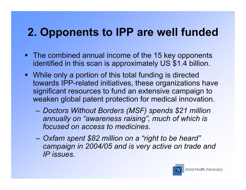### **2. Opponents to IPP are well funded**

- The combined annual income of the 15 key opponents identified in this scan is approximately US \$1.4 billion.
- ! While only a portion of this total funding is directed towards IPP-related initiatives, these organizations have significant resources to fund an extensive campaign to weaken global patent protection for medical innovation.
	- *Doctors Without Borders (MSF) spends \$21 million annually on "awareness raising", much of which is focused on access to medicines.*
	- *Oxfam spent \$82 million on a "right to be heard" campaign in 2004/05 and is very active on trade and IP issues.*

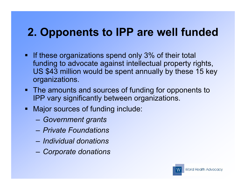### **2. Opponents to IPP are well funded**

- **If these organizations spend only 3% of their total** funding to advocate against intellectual property rights, US \$43 million would be spent annually by these 15 key organizations.
- The amounts and sources of funding for opponents to IPP vary significantly between organizations.
- **I** Major sources of funding include:
	- *Government grants*
	- *Private Foundations*
	- *Individual donations*
	- *Corporate donations*

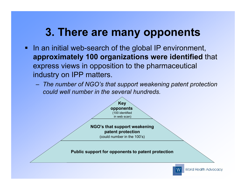### **3. There are many opponents**

- ! In an initial web-search of the global IP environment, **approximately 100 organizations were identified** that express views in opposition to the pharmaceutical industry on IPP matters.
	- *The number of NGO's that support weakening patent protection could well number in the several hundreds.*

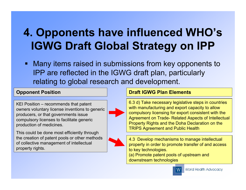## **4. Opponents have influenced WHO's IGWG Draft Global Strategy on IPP**

! Many items raised in submissions from key opponents to IPP are reflected in the IGWG draft plan, particularly relating to global research and development.

#### **Opponent Position**

KEI Position – recommends that patent owners voluntary license inventions to generic producers, or that governments issue compulsory licenses to facilitate generic production of medicines.

This could be done most efficiently through the creation of patent pools or other methods of collective management of intellectual property rights.





#### **Draft IGWG Plan Elements**

6.3 d) Take necessary legislative steps in countries with manufacturing and export capacity to allow compulsory licensing for export consistent with the Agreement on Trade- Related Aspects of Intellectual Property Rights and the Doha Declaration on the TRIPS Agreement and Public Health

4.3 Develop mechanisms to manage intellectual property in order to promote transfer of and access to key technologies.

(a) Promote patent pools of upstream and downstream technologies

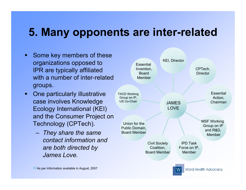#### **5. Many opponents are inter-related**

- **Example 1 Some key members of these** organizations opposed to IPR are typically affiliated with a number of inter-related groups.
- **One particularly illustrative** case involves Knowledge Ecology International (KEI) and the Consumer Project on Technology (CPTech).
	- *They share the same contact information and are both directed by James Love.*